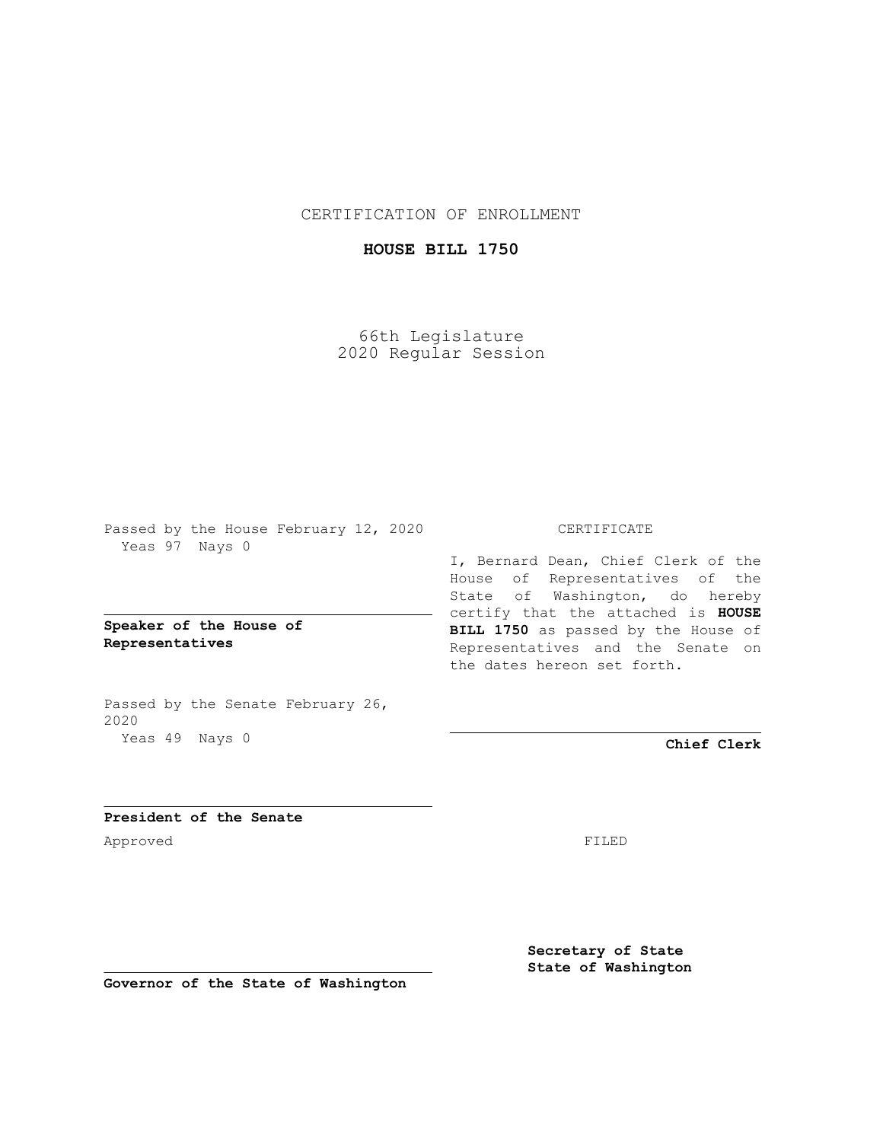CERTIFICATION OF ENROLLMENT

## **HOUSE BILL 1750**

66th Legislature 2020 Regular Session

Passed by the House February 12, 2020 Yeas 97 Nays 0

**Speaker of the House of Representatives**

Passed by the Senate February 26, 2020 Yeas 49 Nays 0

## CERTIFICATE

I, Bernard Dean, Chief Clerk of the House of Representatives of the State of Washington, do hereby certify that the attached is **HOUSE BILL 1750** as passed by the House of Representatives and the Senate on the dates hereon set forth.

**Chief Clerk**

**President of the Senate** Approved FILED

**Secretary of State State of Washington**

**Governor of the State of Washington**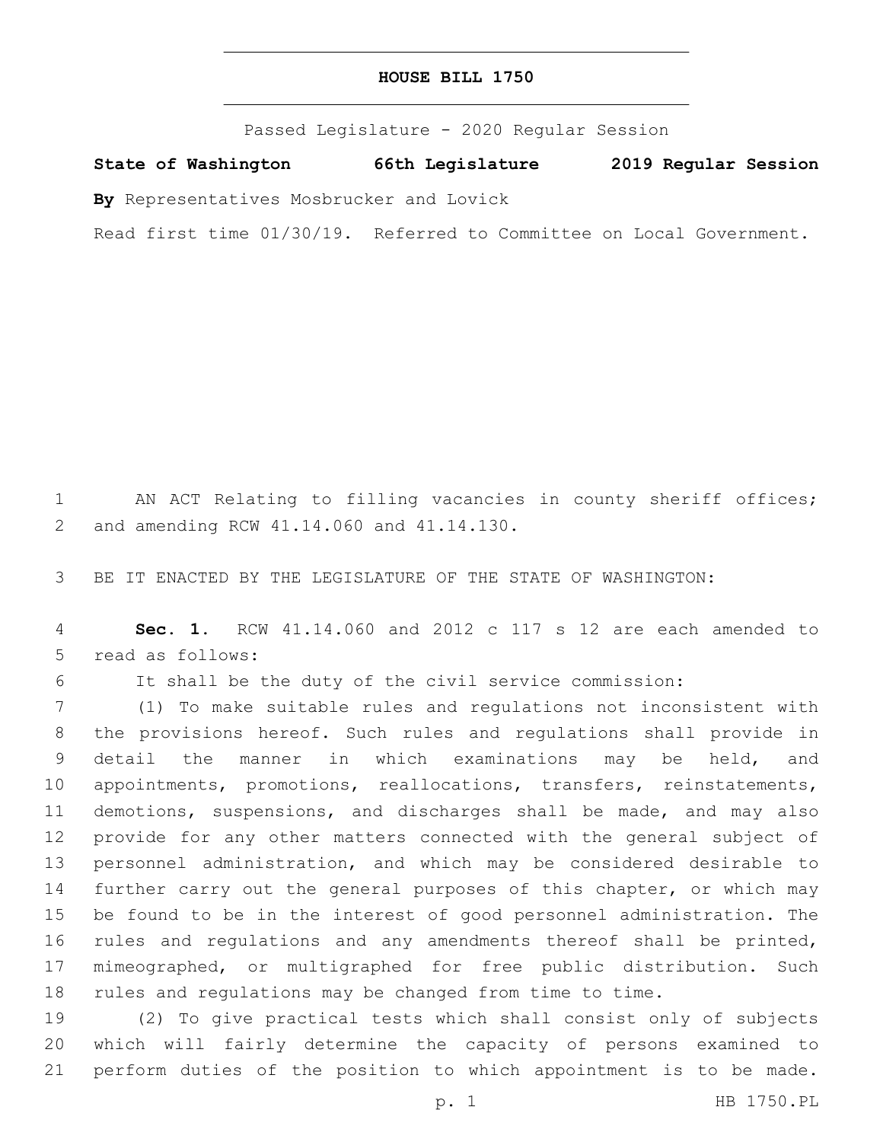Passed Legislature - 2020 Regular Session

**State of Washington 66th Legislature 2019 Regular Session**

**By** Representatives Mosbrucker and Lovick

Read first time 01/30/19. Referred to Committee on Local Government.

 AN ACT Relating to filling vacancies in county sheriff offices; 2 and amending RCW 41.14.060 and 41.14.130.

BE IT ENACTED BY THE LEGISLATURE OF THE STATE OF WASHINGTON:

 **Sec. 1.** RCW 41.14.060 and 2012 c 117 s 12 are each amended to 5 read as follows:

It shall be the duty of the civil service commission:

 (1) To make suitable rules and regulations not inconsistent with the provisions hereof. Such rules and regulations shall provide in detail the manner in which examinations may be held, and appointments, promotions, reallocations, transfers, reinstatements, demotions, suspensions, and discharges shall be made, and may also provide for any other matters connected with the general subject of personnel administration, and which may be considered desirable to 14 further carry out the general purposes of this chapter, or which may be found to be in the interest of good personnel administration. The 16 rules and regulations and any amendments thereof shall be printed, mimeographed, or multigraphed for free public distribution. Such rules and regulations may be changed from time to time.

 (2) To give practical tests which shall consist only of subjects which will fairly determine the capacity of persons examined to perform duties of the position to which appointment is to be made.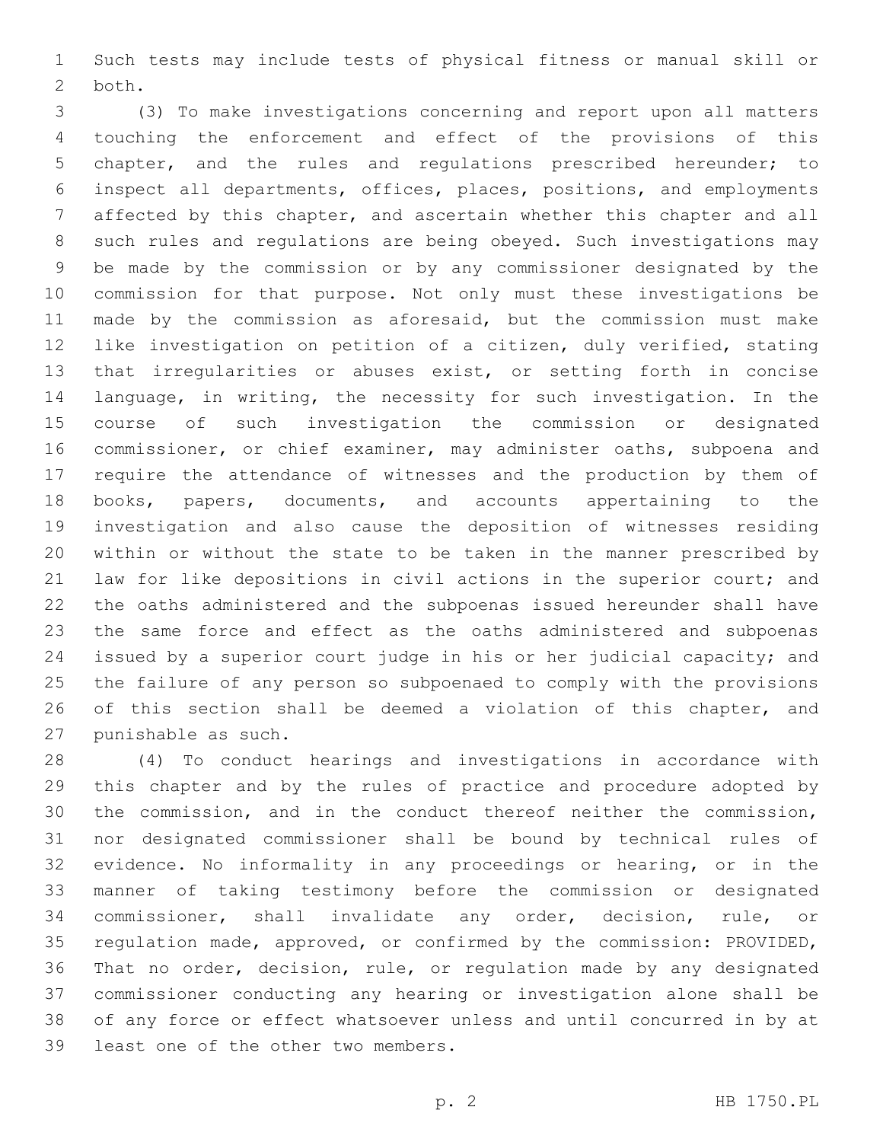Such tests may include tests of physical fitness or manual skill or 2 both.

 (3) To make investigations concerning and report upon all matters touching the enforcement and effect of the provisions of this chapter, and the rules and regulations prescribed hereunder; to inspect all departments, offices, places, positions, and employments affected by this chapter, and ascertain whether this chapter and all such rules and regulations are being obeyed. Such investigations may be made by the commission or by any commissioner designated by the commission for that purpose. Not only must these investigations be made by the commission as aforesaid, but the commission must make like investigation on petition of a citizen, duly verified, stating that irregularities or abuses exist, or setting forth in concise language, in writing, the necessity for such investigation. In the course of such investigation the commission or designated commissioner, or chief examiner, may administer oaths, subpoena and require the attendance of witnesses and the production by them of books, papers, documents, and accounts appertaining to the investigation and also cause the deposition of witnesses residing within or without the state to be taken in the manner prescribed by law for like depositions in civil actions in the superior court; and the oaths administered and the subpoenas issued hereunder shall have the same force and effect as the oaths administered and subpoenas issued by a superior court judge in his or her judicial capacity; and the failure of any person so subpoenaed to comply with the provisions 26 of this section shall be deemed a violation of this chapter, and 27 punishable as such.

 (4) To conduct hearings and investigations in accordance with this chapter and by the rules of practice and procedure adopted by the commission, and in the conduct thereof neither the commission, nor designated commissioner shall be bound by technical rules of evidence. No informality in any proceedings or hearing, or in the manner of taking testimony before the commission or designated commissioner, shall invalidate any order, decision, rule, or regulation made, approved, or confirmed by the commission: PROVIDED, That no order, decision, rule, or regulation made by any designated commissioner conducting any hearing or investigation alone shall be of any force or effect whatsoever unless and until concurred in by at 39 least one of the other two members.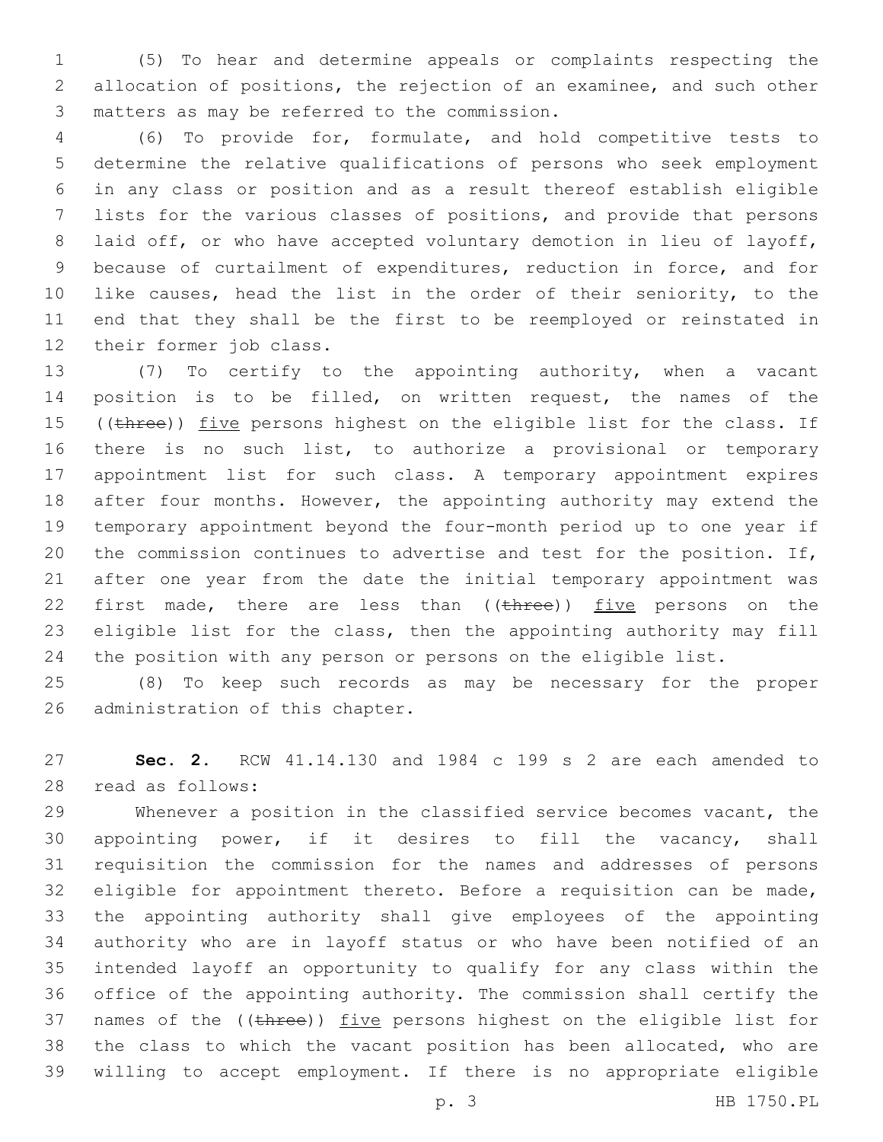(5) To hear and determine appeals or complaints respecting the allocation of positions, the rejection of an examinee, and such other matters as may be referred to the commission.3

 (6) To provide for, formulate, and hold competitive tests to determine the relative qualifications of persons who seek employment in any class or position and as a result thereof establish eligible lists for the various classes of positions, and provide that persons laid off, or who have accepted voluntary demotion in lieu of layoff, because of curtailment of expenditures, reduction in force, and for 10 like causes, head the list in the order of their seniority, to the end that they shall be the first to be reemployed or reinstated in 12 their former job class.

 (7) To certify to the appointing authority, when a vacant position is to be filled, on written request, the names of the 15 ((three)) five persons highest on the eligible list for the class. If there is no such list, to authorize a provisional or temporary appointment list for such class. A temporary appointment expires 18 after four months. However, the appointing authority may extend the temporary appointment beyond the four-month period up to one year if the commission continues to advertise and test for the position. If, after one year from the date the initial temporary appointment was 22 first made, there are less than ((three)) five persons on the eligible list for the class, then the appointing authority may fill the position with any person or persons on the eligible list.

 (8) To keep such records as may be necessary for the proper 26 administration of this chapter.

 **Sec. 2.** RCW 41.14.130 and 1984 c 199 s 2 are each amended to read as follows:28

 Whenever a position in the classified service becomes vacant, the appointing power, if it desires to fill the vacancy, shall requisition the commission for the names and addresses of persons eligible for appointment thereto. Before a requisition can be made, the appointing authority shall give employees of the appointing authority who are in layoff status or who have been notified of an intended layoff an opportunity to qualify for any class within the office of the appointing authority. The commission shall certify the 37 names of the ((three)) five persons highest on the eligible list for the class to which the vacant position has been allocated, who are willing to accept employment. If there is no appropriate eligible